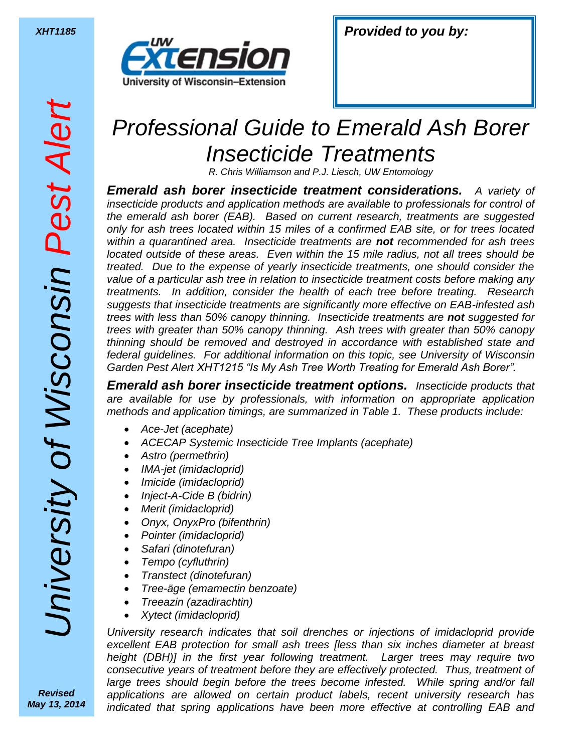

## *Professional Guide to Emerald Ash Borer Insecticide Treatments*

*R. Chris Williamson and P.J. Liesch, UW Entomology*

*Emerald ash borer insecticide treatment considerations. A variety of insecticide products and application methods are available to professionals for control of the emerald ash borer (EAB). Based on current research, treatments are suggested only for ash trees located within 15 miles of a confirmed EAB site, or for trees located within a quarantined area. Insecticide treatments are not recommended for ash trees located outside of these areas. Even within the 15 mile radius, not all trees should be treated. Due to the expense of yearly insecticide treatments, one should consider the value of a particular ash tree in relation to insecticide treatment costs before making any treatments. In addition, consider the health of each tree before treating. Research suggests that insecticide treatments are significantly more effective on EAB-infested ash trees with less than 50% canopy thinning. Insecticide treatments are not suggested for trees with greater than 50% canopy thinning. Ash trees with greater than 50% canopy thinning should be removed and destroyed in accordance with established state and federal guidelines. For additional information on this topic, see University of Wisconsin Garden Pest Alert XHT1215 "Is My Ash Tree Worth Treating for Emerald Ash Borer".*

*Emerald ash borer insecticide treatment options. Insecticide products that are available for use by professionals, with information on appropriate application methods and application timings, are summarized in Table 1. These products include:*

- *Ace-Jet (acephate)*
- *ACECAP Systemic Insecticide Tree Implants (acephate)*
- *Astro (permethrin)*
- *IMA-jet (imidacloprid)*
- *Imicide (imidacloprid)*
- *Inject-A-Cide B (bidrin)*
- *Merit (imidacloprid)*
- *Onyx, OnyxPro (bifenthrin)*
- *Pointer (imidacloprid)*
- *Safari (dinotefuran)*
- *Tempo (cyfluthrin)*
- *Transtect (dinotefuran)*
- *Tree-äge (emamectin benzoate)*
- *Treeazin (azadirachtin)*
- *Xytect (imidacloprid)*

*University research indicates that soil drenches or injections of imidacloprid provide excellent EAB protection for small ash trees [less than six inches diameter at breast height (DBH)] in the first year following treatment. Larger trees may require two consecutive years of treatment before they are effectively protected. Thus, treatment of*  large trees should begin before the trees become infested. While spring and/or fall *applications are allowed on certain product labels, recent university research has indicated that spring applications have been more effective at controlling EAB and* 

Jniversity of Wisconsin Pest Aler